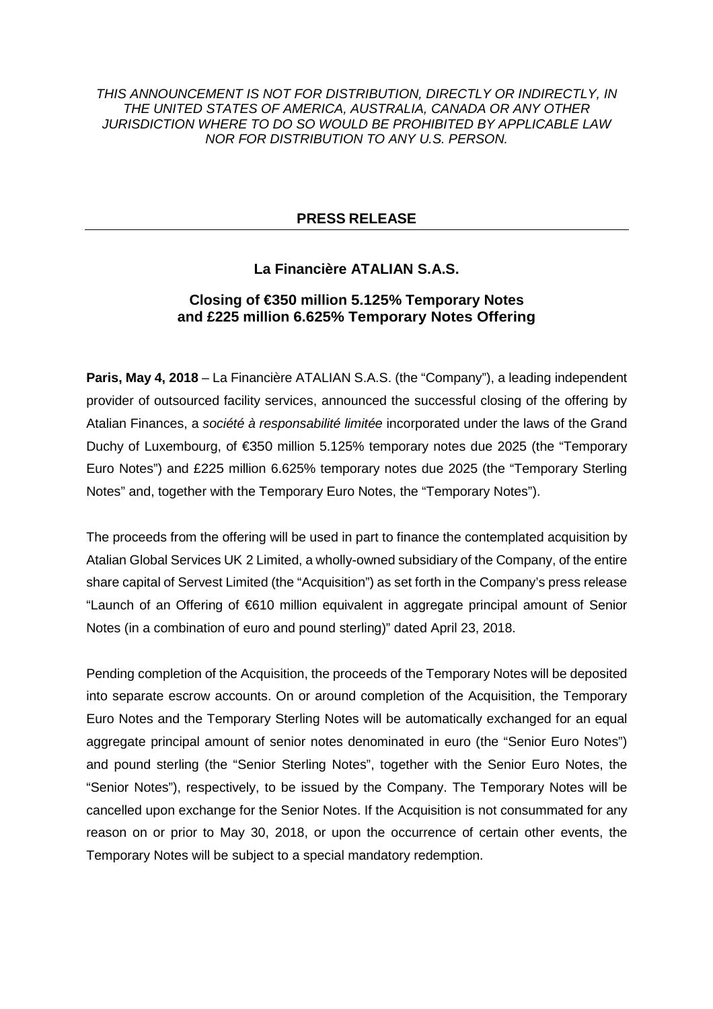THIS ANNOUNCEMENT IS NOT FOR DISTRIBUTION, DIRECTLY OR INDIRECTLY, IN THE UNITED STATES OF AMERICA, AUSTRALIA, CANADA OR ANY OTHER JURISDICTION WHERE TO DO SO WOULD BE PROHIBITED BY APPLICABLE LAW NOR FOR DISTRIBUTION TO ANY U.S. PERSON.

## **PRESS RELEASE**

# **La Financière ATALIAN S.A.S.**

## **Closing of €350 million 5.125% Temporary Notes and £225 million 6.625% Temporary Notes Offering**

**Paris, May 4, 2018** – La Financière ATALIAN S.A.S. (the "Company"), a leading independent provider of outsourced facility services, announced the successful closing of the offering by Atalian Finances, a société à responsabilité limitée incorporated under the laws of the Grand Duchy of Luxembourg, of €350 million 5.125% temporary notes due 2025 (the "Temporary Euro Notes") and £225 million 6.625% temporary notes due 2025 (the "Temporary Sterling Notes" and, together with the Temporary Euro Notes, the "Temporary Notes").

The proceeds from the offering will be used in part to finance the contemplated acquisition by Atalian Global Services UK 2 Limited, a wholly-owned subsidiary of the Company, of the entire share capital of Servest Limited (the "Acquisition") as set forth in the Company's press release "Launch of an Offering of €610 million equivalent in aggregate principal amount of Senior Notes (in a combination of euro and pound sterling)" dated April 23, 2018.

Pending completion of the Acquisition, the proceeds of the Temporary Notes will be deposited into separate escrow accounts. On or around completion of the Acquisition, the Temporary Euro Notes and the Temporary Sterling Notes will be automatically exchanged for an equal aggregate principal amount of senior notes denominated in euro (the "Senior Euro Notes") and pound sterling (the "Senior Sterling Notes", together with the Senior Euro Notes, the "Senior Notes"), respectively, to be issued by the Company. The Temporary Notes will be cancelled upon exchange for the Senior Notes. If the Acquisition is not consummated for any reason on or prior to May 30, 2018, or upon the occurrence of certain other events, the Temporary Notes will be subject to a special mandatory redemption.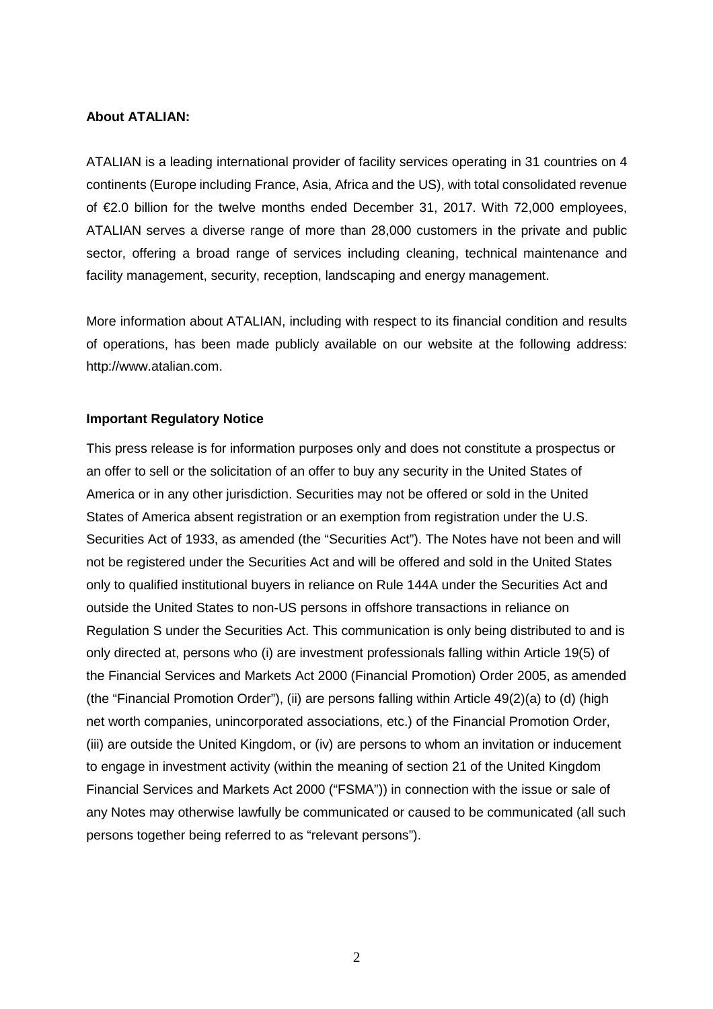### **About ATALIAN:**

ATALIAN is a leading international provider of facility services operating in 31 countries on 4 continents (Europe including France, Asia, Africa and the US), with total consolidated revenue of €2.0 billion for the twelve months ended December 31, 2017. With 72,000 employees, ATALIAN serves a diverse range of more than 28,000 customers in the private and public sector, offering a broad range of services including cleaning, technical maintenance and facility management, security, reception, landscaping and energy management.

More information about ATALIAN, including with respect to its financial condition and results of operations, has been made publicly available on our website at the following address: http://www.atalian.com.

#### **Important Regulatory Notice**

This press release is for information purposes only and does not constitute a prospectus or an offer to sell or the solicitation of an offer to buy any security in the United States of America or in any other jurisdiction. Securities may not be offered or sold in the United States of America absent registration or an exemption from registration under the U.S. Securities Act of 1933, as amended (the "Securities Act"). The Notes have not been and will not be registered under the Securities Act and will be offered and sold in the United States only to qualified institutional buyers in reliance on Rule 144A under the Securities Act and outside the United States to non-US persons in offshore transactions in reliance on Regulation S under the Securities Act. This communication is only being distributed to and is only directed at, persons who (i) are investment professionals falling within Article 19(5) of the Financial Services and Markets Act 2000 (Financial Promotion) Order 2005, as amended (the "Financial Promotion Order"), (ii) are persons falling within Article 49(2)(a) to (d) (high net worth companies, unincorporated associations, etc.) of the Financial Promotion Order, (iii) are outside the United Kingdom, or (iv) are persons to whom an invitation or inducement to engage in investment activity (within the meaning of section 21 of the United Kingdom Financial Services and Markets Act 2000 ("FSMA")) in connection with the issue or sale of any Notes may otherwise lawfully be communicated or caused to be communicated (all such persons together being referred to as "relevant persons").